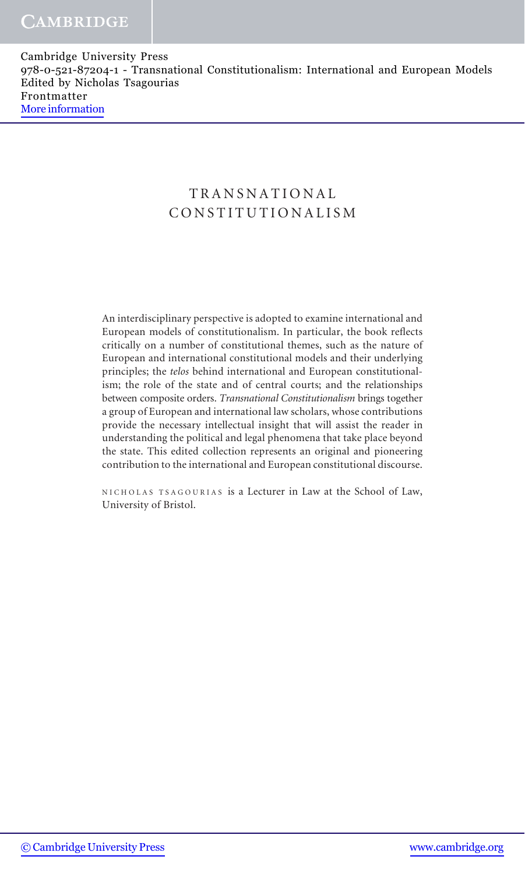## TRANSNATIONAL CONSTITUTIONALISM

An interdisciplinary perspective is adopted to examine international and European models of constitutionalism. In particular, the book reflects critically on a number of constitutional themes, such as the nature of European and international constitutional models and their underlying principles; the telos behind international and European constitutionalism; the role of the state and of central courts; and the relationships between composite orders. Transnational Constitutionalism brings together a group of European and international law scholars, whose contributions provide the necessary intellectual insight that will assist the reader in understanding the political and legal phenomena that take place beyond the state. This edited collection represents an original and pioneering contribution to the international and European constitutional discourse.

NICHOLAS TSAGOURIAS is a Lecturer in Law at the School of Law, University of Bristol.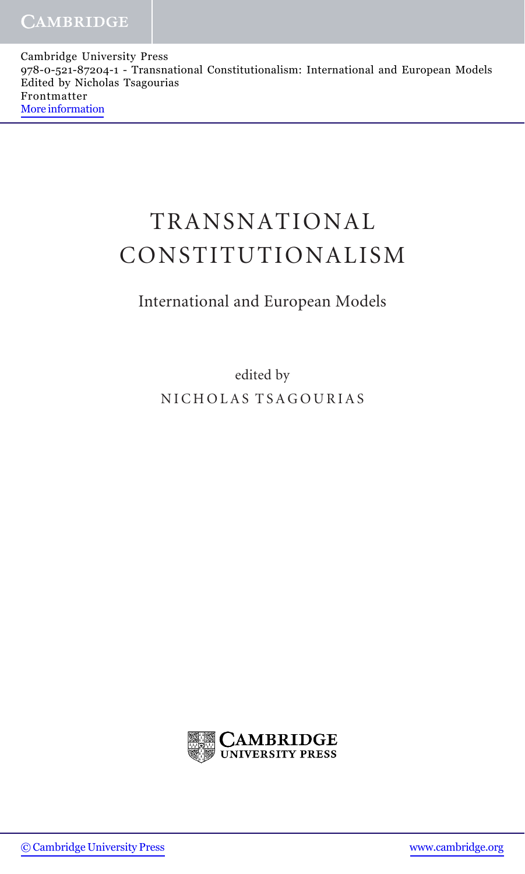# TRANSNATIONAL CONSTITUTIONALISM

## International and European Models

edited by NICHOLAS TSAGOURIAS

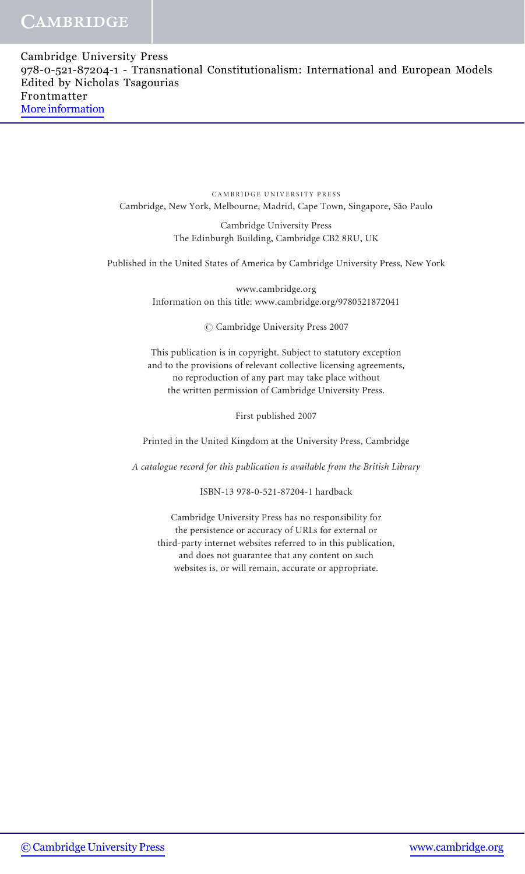## **CAMBRIDGE**

CAMBRIDGE UNIVERSITY PRESS Cambridge, New York, Melbourne, Madrid, Cape Town, Singapore, São Paulo

> Cambridge University Press The Edinburgh Building, Cambridge CB2 8RU, UK

Published in the United States of America by Cambridge University Press, New York

www.cambridge.org Information on this title: www.cambridge.org/9780521872041

 $\oslash$  Cambridge University Press 2007

This publication is in copyright. Subject to statutory exception and to the provisions of relevant collective licensing agreements, no reproduction of any part may take place without the written permission of Cambridge University Press.

First published 2007

Printed in the United Kingdom at the University Press, Cambridge

A catalogue record for this publication is available from the British Library

ISBN-13 978-0-521-87204-1 hardback

Cambridge University Press has no responsibility for the persistence or accuracy of URLs for external or third-party internet websites referred to in this publication, and does not guarantee that any content on such websites is, or will remain, accurate or appropriate.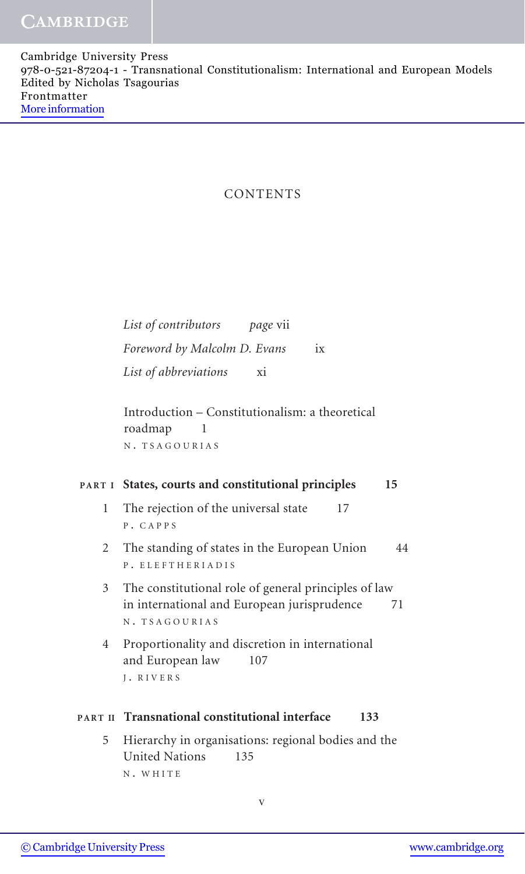#### CONTENTS

List of contributors page vii Foreword by Malcolm D. Evans ix List of abbreviations xi

Introduction – Constitutionalism: a theoretical roadmap 1 <sup>N</sup> . TSAGOURIAS

#### PART I States, courts and constitutional principles 15

- 1 The rejection of the universal state 17 <sup>P</sup> . CAPPS
- 2 The standing of states in the European Union 44 <sup>P</sup> . ELEFTHERIADIS
- 3 The constitutional role of general principles of law in international and European jurisprudence 71 <sup>N</sup> . TSAGOURIAS
- 4 Proportionality and discretion in international and European law 107 <sup>J</sup> . RIVERS

#### PART II Transnational constitutional interface 133

5 Hierarchy in organisations: regional bodies and the United Nations 135 <sup>N</sup> . WHITE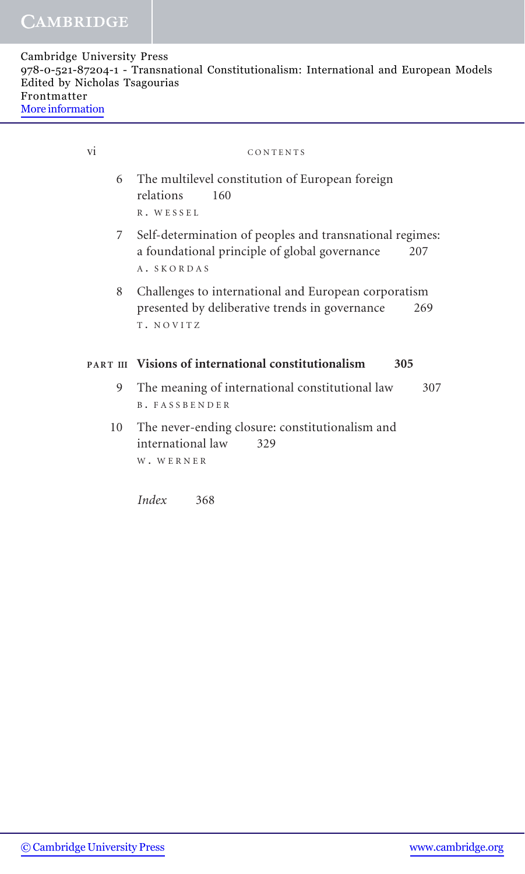| Cambridge University Press                                                             |  |
|----------------------------------------------------------------------------------------|--|
| 978-0-521-87204-1 - Transnational Constitutionalism: International and European Models |  |
| Edited by Nicholas Tsagourias                                                          |  |
| Frontmatter                                                                            |  |
| More information                                                                       |  |

| vi | CONTENTS                                                                                                                         |
|----|----------------------------------------------------------------------------------------------------------------------------------|
|    | 6 The multilevel constitution of European foreign<br>relations<br>160<br>R. WESSEL                                               |
|    | 7 Self-determination of peoples and transnational regimes:<br>a foundational principle of global governance<br>207<br>A. SKORDAS |
| 8  | Challenges to international and European corporatism<br>presented by deliberative trends in governance<br>269<br>T. NOVITZ       |
|    | PART III Visions of international constitutionalism<br>305                                                                       |
| 9  | The meaning of international constitutional law<br>307<br><b>B. FASSBENDER</b>                                                   |
| 10 | The never-ending closure: constitutionalism and<br>international law<br>329<br>W. WERNER                                         |

Index 368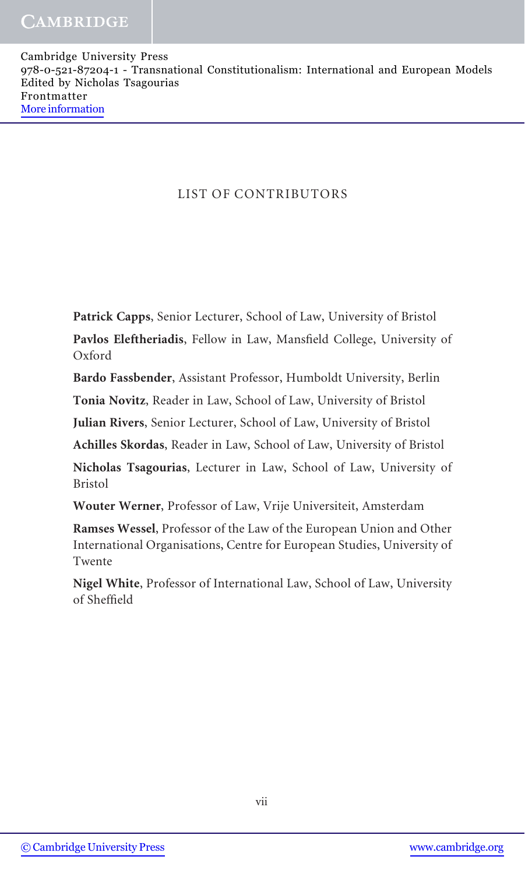### LIST OF CONTRIBUTORS

Patrick Capps, Senior Lecturer, School of Law, University of Bristol

Pavlos Eleftheriadis, Fellow in Law, Mansfield College, University of Oxford

Bardo Fassbender, Assistant Professor, Humboldt University, Berlin

Tonia Novitz, Reader in Law, School of Law, University of Bristol

Julian Rivers, Senior Lecturer, School of Law, University of Bristol

Achilles Skordas, Reader in Law, School of Law, University of Bristol

Nicholas Tsagourias, Lecturer in Law, School of Law, University of Bristol

Wouter Werner, Professor of Law, Vrije Universiteit, Amsterdam

Ramses Wessel, Professor of the Law of the European Union and Other International Organisations, Centre for European Studies, University of Twente

Nigel White, Professor of International Law, School of Law, University of Sheffield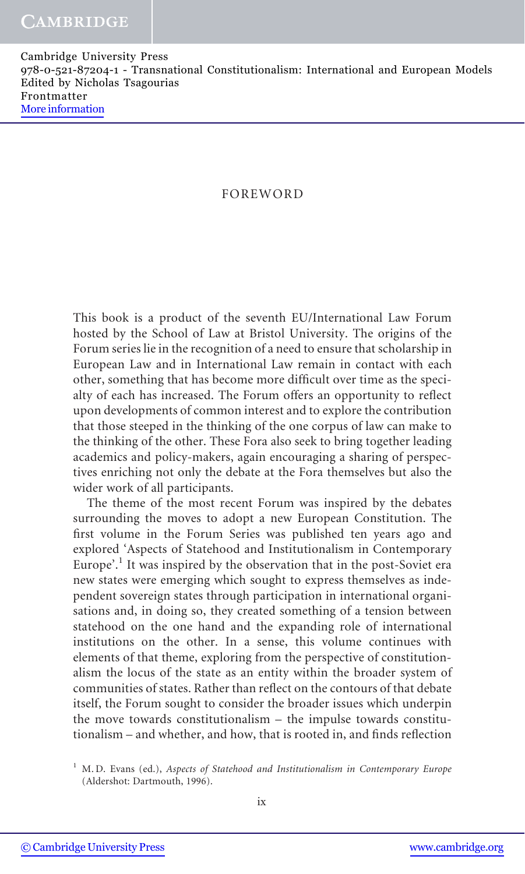#### FOREWORD

This book is a product of the seventh EU/International Law Forum hosted by the School of Law at Bristol University. The origins of the Forum series lie in the recognition of a need to ensure that scholarship in European Law and in International Law remain in contact with each other, something that has become more difficult over time as the specialty of each has increased. The Forum offers an opportunity to reflect upon developments of common interest and to explore the contribution that those steeped in the thinking of the one corpus of law can make to the thinking of the other. These Fora also seek to bring together leading academics and policy-makers, again encouraging a sharing of perspectives enriching not only the debate at the Fora themselves but also the wider work of all participants.

The theme of the most recent Forum was inspired by the debates surrounding the moves to adopt a new European Constitution. The first volume in the Forum Series was published ten years ago and explored 'Aspects of Statehood and Institutionalism in Contemporary Europe'.<sup>1</sup> It was inspired by the observation that in the post-Soviet era new states were emerging which sought to express themselves as independent sovereign states through participation in international organisations and, in doing so, they created something of a tension between statehood on the one hand and the expanding role of international institutions on the other. In a sense, this volume continues with elements of that theme, exploring from the perspective of constitutionalism the locus of the state as an entity within the broader system of communities of states. Rather than reflect on the contours of that debate itself, the Forum sought to consider the broader issues which underpin the move towards constitutionalism – the impulse towards constitutionalism – and whether, and how, that is rooted in, and finds reflection

 $1$  M. D. Evans (ed.), Aspects of Statehood and Institutionalism in Contemporary Europe (Aldershot: Dartmouth, 1996).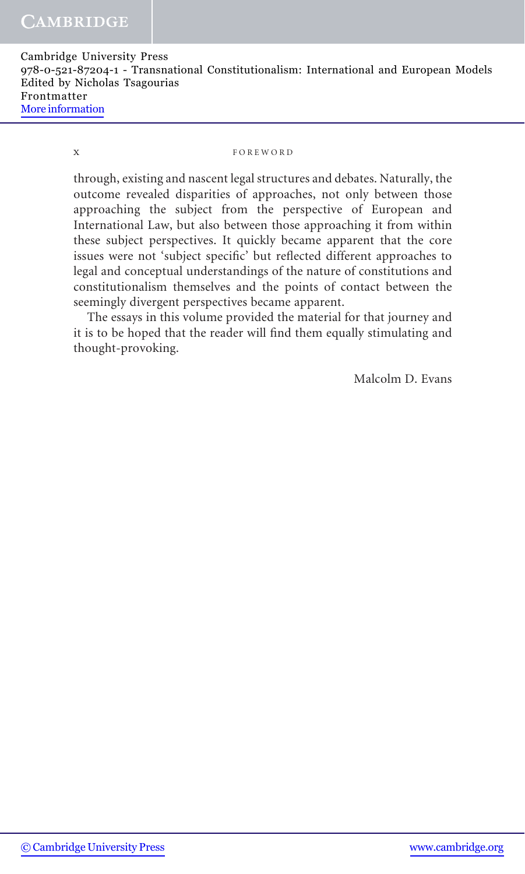#### x FOREWORD

through, existing and nascent legal structures and debates. Naturally, the outcome revealed disparities of approaches, not only between those approaching the subject from the perspective of European and International Law, but also between those approaching it from within these subject perspectives. It quickly became apparent that the core issues were not 'subject specific' but reflected different approaches to legal and conceptual understandings of the nature of constitutions and constitutionalism themselves and the points of contact between the seemingly divergent perspectives became apparent.

The essays in this volume provided the material for that journey and it is to be hoped that the reader will find them equally stimulating and thought-provoking.

Malcolm D. Evans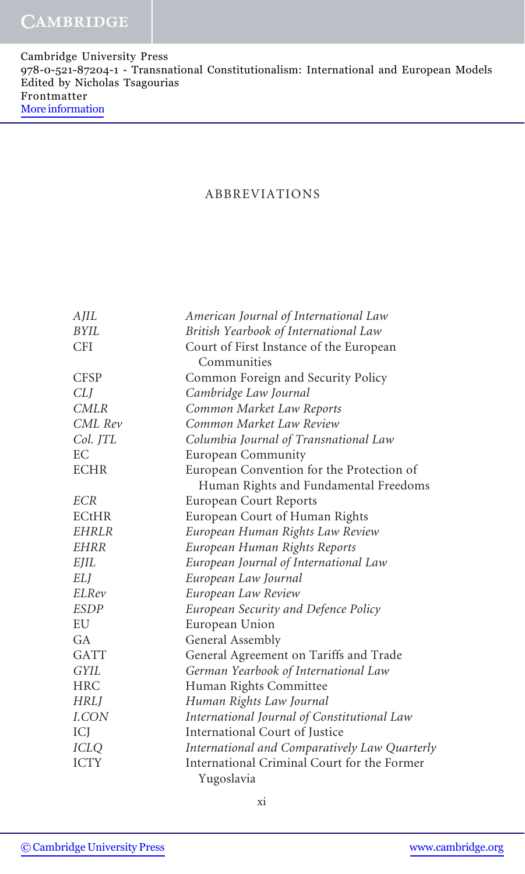#### ABBREVIATIONS

| AJIL         | American Journal of International Law         |
|--------------|-----------------------------------------------|
| <b>BYIL</b>  | British Yearbook of International Law         |
| <b>CFI</b>   | Court of First Instance of the European       |
|              | Communities                                   |
| <b>CFSP</b>  | Common Foreign and Security Policy            |
| CLJ          | Cambridge Law Journal                         |
| <b>CMLR</b>  | Common Market Law Reports                     |
| CML Rev      | Common Market Law Review                      |
| Col. JTL     | Columbia Journal of Transnational Law         |
| EC           | European Community                            |
| <b>ECHR</b>  | European Convention for the Protection of     |
|              | Human Rights and Fundamental Freedoms         |
| <b>ECR</b>   | <b>European Court Reports</b>                 |
| <b>ECtHR</b> | European Court of Human Rights                |
| <b>EHRLR</b> | European Human Rights Law Review              |
| EHRR         | European Human Rights Reports                 |
| EJIL         | European Journal of International Law         |
| ELJ          | European Law Journal                          |
| ELRev        | European Law Review                           |
| <i>ESDP</i>  | European Security and Defence Policy          |
| EU           | European Union                                |
| GA           | General Assembly                              |
| <b>GATT</b>  | General Agreement on Tariffs and Trade        |
| <b>GYIL</b>  | German Yearbook of International Law          |
| <b>HRC</b>   | Human Rights Committee                        |
| <b>HRLJ</b>  | Human Rights Law Journal                      |
| I.CON        | International Journal of Constitutional Law   |
| ICJ          | International Court of Justice                |
| <b>ICLQ</b>  | International and Comparatively Law Quarterly |
| <b>ICTY</b>  | International Criminal Court for the Former   |
|              | Yugoslavia                                    |